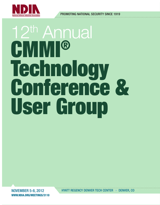

PROMOTING NATIONAL SECURITY SINCE 1919

# 12th Annual CMMI® Technology Conference & User Group

NOVEMBER 5-8, 2012 WWW.NDIA.ORG/MEETINGS/3110 HYATT REGENCY DENVER TECH CENTER  $\triangleright$  DENVER, CO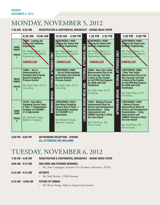### MONDAY, NOVEMBER 5, 2012

7:30 AM - 8:30 AM REGISTRATION & CONTINENTAL BREAKFAST - GRAND MESA FOYER



5:00 PM - 6:00 PM NETWORKING RECEPTION - ATRIUM ALL ATTENDEES ARE WELCOME

### TUESDAY, NOVEMBER 6, 2012

7:30 AM - 8:30 AM REGISTRATION & CONTINENTAL BREAKFAST - GRAND MESA FOYER 8:00 AM - 8:15 AM WELCOME AND OPENING REMARKS **Mr. Sam Campagna,** *Assistant Vice President*, *Operations*, *NDIA* 8:15 AM - 9:15 AM KEYNOTE **Mr. Kirk Botula,** *CMMI Institute* 9:15 AM - 10:00 AM FUTURE OF CMMI® **Mr. Rusty Young, Software Engineering Institute**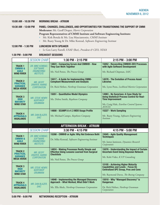|  | 10:00 AM - 10:30 PM |  | <b>MORNING BREAK - ATRIUM</b> |  |  |
|--|---------------------|--|-------------------------------|--|--|
|--|---------------------|--|-------------------------------|--|--|

### 10:30 AM - 12:00 PM PANEL: CHANGES, CHALLENGES, AND OPPORTUNITIES FOR TRANSITIONING THE SUPPORT OF CMMI

**Moderator:** Mr. Geoff Draper, *Harris Corporation*

### **Program Representatives of CMMI Institute and Software Engineering Institute:**

- ▶ Mr. Kirk Botula & Ms. Lisa Masciantonio, *CMMI Institute*
- **Mr. Rusty Young & Dr. Mike Konrad, Software Engineering Institute**

#### 12:00 PM - 1:30 PM LUNCHEON WITH SPEAKER

▶ Lt Gen Larry Farrell, USAF (Ret), *President & CEO, NDIA* 

#### 1:30 PM - 5:00 PM BREAKOUT SESSIONS

|                                                                            | <b>SESSION CHAIR</b>                                                   | 1:30 PM - 2:15 PM                                                                                                                                             | 2:15 PM - 3:00 PM                                                                                                                                                                       |
|----------------------------------------------------------------------------|------------------------------------------------------------------------|---------------------------------------------------------------------------------------------------------------------------------------------------------------|-----------------------------------------------------------------------------------------------------------------------------------------------------------------------------------------|
| <b>TRACK1</b><br><b>CMMI®&amp;</b><br><b>AGILE</b>                         | DR. MIKE KONRAD,<br><b>SOFTWARE</b><br><b>ENGINEERING</b>              | 14823 - Comparing Scrum And CMMI® - How<br><b>They Can Work Together</b><br>Mr. Neil Potter, The Process Group                                                | 15052 - Reconciling CMMI®-DEV Processes<br>with Agile Software Development<br>Mr. Richard Chipman, SAIC                                                                                 |
| <b>WIND RIVER</b>                                                          | <b>INSTITUTE</b>                                                       |                                                                                                                                                               |                                                                                                                                                                                         |
| <b>TRACK 2</b><br><b>PRACTICAL</b><br><b>GUIDANCE</b><br><b>MESA VERDE</b> | MR. GEOFF<br><b>DRAPER, HARRIS</b><br><b>CORPORATION</b>               | 15017 - A Guide for Implementing CMMI-<br><b>Compliant Measurement and Analysis</b><br>Dr. Rick Hefner, Northrop Grumman Corporation                          | 14578 - The Evolution of Process Asset<br><b>Libraries</b><br>Ms. Lynn Penn, Lockheed Martin Corporation                                                                                |
| <b>TRACK 3</b><br><b>HIGH</b><br><b>MATURITY</b><br><b>WIND STAR</b>       | <b>MR. STEVE HENRY,</b><br><b>NORTHROP</b><br><b>GRUMMAN</b>           | 15051 - Quantitative Model Olympics<br>Ms. Debra Smith, Raytheon Company                                                                                      | 14983 - No Surprises: A Case Study for<br><b>Using Statistical Process Control for Real-</b><br><b>Time Improvement</b><br>Mr. Craig Hale, Esterline Control Systems -<br><b>AVISTA</b> |
| <b>TRACK 4</b><br><b>APPRAISALS</b><br><b>HIGHLANDS</b>                    | MR. DAN BLAZER.<br><b>SAIC</b>                                         | 14800 - SCAMPI A v1.3 MDD Usage Profile<br>Mr. Michael Campo, Raytheon Company                                                                                | 15227 - Work Sampling<br>Mr. Rusty Young, Software Engineering<br>Institute                                                                                                             |
|                                                                            |                                                                        | <b>AFTERNOON BREAK - ATRIUM</b>                                                                                                                               |                                                                                                                                                                                         |
|                                                                            | <b>SESSION CHAIR</b>                                                   | 3:30 PM - 4:15 PM                                                                                                                                             | 4:15 PM - 5:00 PM                                                                                                                                                                       |
| <b>TRACK1</b><br><b>CMMI®&amp;</b><br><b>AGILE</b><br><b>WIND RIVER</b>    | DR. MIKE KONRAD,<br><b>SOFTWARE</b><br>ENGINEERING<br><b>INSTITUTE</b> | 15268 - CMMI® or Agile: Why Not Embrace Both!<br>Dr. Mike Konrad, Software Engineering Institute                                                              | 15045 - Agile Quality Management<br><b>Techniques</b><br>Mr. James Jamieson, Dynamics Research<br>Corporation                                                                           |
| <b>TRACK 2</b><br><b>PRACTICAL</b><br><b>GUIDANCE</b><br><b>MESA VERDE</b> | MR. GEOFF<br><b>DRAPER, HARRIS</b><br><b>CORPORATION</b>               | 14824 - Making Processes Really Simple and<br><b>Effective Using Lessons Learned from Surgical</b><br><b>Checklists</b><br>Mr. Neil Potter, The Process Group | 15076 - Understanding the Impact of Certain<br><b>Uncertain Event Using Bayesian Network</b><br>Mr. Kobi Vider, K.V.P Consulting                                                        |
| <b>TRACK3</b><br>HIGH<br><b>MATURITY</b><br><b>WIND STAR</b>               | <b>MR. STEVE HENRY,</b><br><b>NORTHROP</b><br><b>GRUMMAN</b>           |                                                                                                                                                               | 15105 - Achieving Higher Maturity<br><b>Capabilities and Levels - Focus On</b><br><b>Centralized SPC Group, Pros and Cons</b><br>Mr. Raymond Daves, The Boeing Company                  |
| <b>TRACK4</b><br>APPRAISALS<br><b>HIGHLANDS</b>                            | MR. DAN BLAZER,<br><b>SAIC</b>                                         | 14948 - Implementing the Managed Discovery<br>Approach - What Worked, What Didn't Work<br>Ms. Ella Abele, Northrop Grumman Corporation                        | 15018 - Why "Managed Discovery" is<br><b>Dangerous</b><br>Dr. Rick Hefner, Northrop Grumman<br>Corporation                                                                              |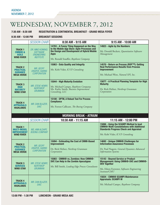### WEDNESDAY, NOVEMBER 7, 2012

7:30 AM - 8:30 AM REGISTRATION & CONTINENTAL BREAKFAST - GRAND MESA FOYER

8:30 AM - 12:00 PM BREAKOUT SESSIONS

|                                                                                | <b>SESSION CHAIR</b>                                                          | 8:30 AM - 9:15 AM                                                                                                                                                                                | 9:15 AM - 10:00 AM                                                                                                                                                                 |
|--------------------------------------------------------------------------------|-------------------------------------------------------------------------------|--------------------------------------------------------------------------------------------------------------------------------------------------------------------------------------------------|------------------------------------------------------------------------------------------------------------------------------------------------------------------------------------|
| <b>TRACK1</b><br><b>CMMI® &amp;</b><br><b>AGILE</b><br><b>WIND RIVER</b>       | DR. MIKE KONRAD,<br><b>SOFTWARE</b><br><b>ENGINEERING</b><br><b>INSTITUTE</b> | 14783 - A Funny Thing Happened on the Way<br>to the Mobile App Store: Agile Processes and<br>the Design and Development of Hybrid Mobile<br><b>Apps</b><br>Mr. Ronald Stauffer, Raytheon Company | 14923 - Agile by the Numbers<br>Mr. Donald Beckett, Quantitative Software<br>Management                                                                                            |
| <b>TRACK 2</b><br><b>PRACTICAL</b><br><b>GUIDANCE</b><br><b>MESA VERDE</b>     | MR. GEOFF<br>DRAPER, HARRIS<br><b>CORPORATION</b>                             | 15063 - Data Quality and Integrity<br>Mr. Kobi Vider, K.V.P. Consulting                                                                                                                          | 14570 - Return on Process (ROP™): Getting<br><b>Real Performance Results from Process</b><br><b>Improvement</b><br>Mr. Michael West, Natural SPI, Inc.                             |
| <b>TRACK 3</b><br><b>HIGH</b><br><b>MATURITY</b><br><b>WIND STAR</b>           | <b>MR. STEVE HENRY,</b><br><b>NORTHROP</b><br><b>GRUMMAN</b>                  | 15044 - High Maturity Evolution<br>Mr. Michael Campo, Raytheon Company;<br>Ms. Kathy Smith, Business Improvement<br>Consulting, LLC                                                              | 15077 - A Practical Planning Template for High<br><b>Maturity</b><br>Dr. Rick Hefner, Northrop Grumman<br>Corporation                                                              |
| <b>TRACK4</b><br><b>APPRAISALS</b><br><b>HIGHLANDS</b>                         | MR. DAN BLAZER,<br><b>SAIC</b>                                                | 15100 - OPTM, A Robust Tool For Process<br><b>Compliance</b><br>Mr. Forrest Callicutt, The Boeing Company                                                                                        |                                                                                                                                                                                    |
|                                                                                |                                                                               | <b>MORNING BREAK - ATRIUM</b>                                                                                                                                                                    |                                                                                                                                                                                    |
|                                                                                | <b>SESSION CHAIR</b>                                                          | 10:30 AM - 11:15 AM                                                                                                                                                                              | 11:15 AM - 12:00 PM                                                                                                                                                                |
| <b>TRACK1</b><br><b>MULTI-MODEL</b><br><b>IMPROVEMENT</b><br><b>WIND RIVER</b> | <b>MS. ANN ALDAPE,</b><br><b>BOEING COMPANY</b>                               |                                                                                                                                                                                                  | 15066 - Using the SCAMPI Method to lead<br><b>CMMI® Multi-Constellations with Additional</b><br><b>Standards Progress Check and Appraisal</b><br>Mr. Kobi Vider, K.V.P. Consulting |
| <b>TRACK 2</b><br>PRACTICAL<br><b>GUIDANCE</b><br><b>MESA VERDE</b>            | MR. GEOFF<br><b>DRAPER, HARRIS</b><br>CORPORATION                             | 15094 - Estimating the Cost of CMMI-Based<br><b>Improvement</b><br>Dr. Rick Hefner, Northrop Grumman<br>Corporation                                                                              | 14692 - Unique CMMI® Challenges for<br><b>Information Assurance Processes</b><br>Dr. Paul Nugent, General Dynamics Advanced<br><b>Information</b> Systems                          |
| <b>TRACK 3</b><br><b>SERVICES</b><br><b>WIND STAR</b>                          | MR. STEVE HENRY,<br><b>NORTHROP</b><br><b>GRUMMAN</b>                         | 15083 - CMMI® vs. Zombies: How CMMI®-<br><b>SVC Can Help in the Zombie Apocalypse</b><br>Mr. Bill Smith, Leading Edge Process Consultants                                                        | 15143 - Beyond Service or Product<br>Management: Using CMMI®-SVC and CMMI®-<br><b>DEV Together</b><br>Ms. Eileen Forrester, Software Engineering<br>Institute/CMU                  |
| <b>TRACK 4</b><br><b>APPRAISALS</b><br><b>HIGHLANDS</b>                        | MR. DAN BLAZER,<br><b>SAIC</b>                                                |                                                                                                                                                                                                  | 15024 - CMMI® SCAMPI Maintenance<br><b>Appraisals: SCAMPI M</b><br>Mr. Michael Campo, Raytheon Company                                                                             |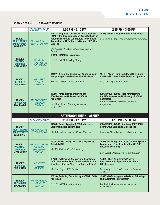------------------------------------

|                                                                                | <b>SESSION CHAIR</b>                                                          | 1:30 PM - 2:15 PM                                                                                                                                                                                                                                                                              | 2:15 PM - 3:00 PM                                                                                                                                                      |
|--------------------------------------------------------------------------------|-------------------------------------------------------------------------------|------------------------------------------------------------------------------------------------------------------------------------------------------------------------------------------------------------------------------------------------------------------------------------------------|------------------------------------------------------------------------------------------------------------------------------------------------------------------------|
| <b>TRACK1</b><br><b>MULTI-MODEL</b><br><b>IMPROVEMENT</b><br><b>WIND RIVER</b> | MS. ANN ALDAPE,<br><b>BOEING COMPANY</b>                                      | 14577 - Alignment of CMMI® for Acquisition,<br><b>CMMI® for Development and Agile Methods as</b><br><b>Potential Favorable Contributors to the Rapid</b><br><b>Acquisition of IT Systems in Support of Public</b><br><b>Law 111</b><br>Dr. Kenneth Nidiffer, Software Engineering<br>Institute | 15226 - Data Management Maturity Model<br>Mr. Rusty Young, Software Engineering Institute                                                                              |
| <b>TRACK 2</b><br><b>PRACTICAL</b><br><b>GUIDANCE</b><br><b>MESA VERDE</b>     | MR. GEOFF<br><b>DRAPER, HARRIS</b><br><b>CORPORATION</b>                      | 15029 - CMMI for Executives<br><b>NDIA CMMI Working Group</b>                                                                                                                                                                                                                                  |                                                                                                                                                                        |
| <b>TRACK 3</b><br><b>SERVICES</b><br><b>WIND STAR</b>                          | <b>MR. KERRY</b><br><i>TRUJILLO,</i><br><b>RAYTHEON</b>                       | 14822 - A Real-life Example of Appraising and<br><b>Interpreting CMMI-Services Maturity Level 2</b><br>Mr. Neil Potter, The Process Group                                                                                                                                                      | 15108 - We're Using Both CMMI®-DEV and<br><b>CMMI®-SVC. How Do We Scope an Appraisal?</b><br>Mr. Sam Fogle, ACE Guides                                                 |
| <b>TRACK 4</b><br><b>APPRAISALS</b><br><b>HIGHLANDS</b>                        | MR. MIKE CAMPO,<br><b>RAYTHEON</b><br><b>COMPANY</b>                          | 15099 - Panel: Tips for Improving the<br><b>Effectiveness and Efficiency of SCAMPI</b><br><b>Appraisals</b><br>Dr. Rick Hefner, Northrop Grumman<br>Corporation                                                                                                                                | (CONTINUED) 15099 - Tips for Improving<br>the Effectiveness and Efficiency of SCAMPI<br><b>Appraisals</b><br>Dr. Rick Hefner, Northrop Grumman<br>Corporation          |
|                                                                                |                                                                               | <b>AFTERNOON BREAK - ATRIUM</b>                                                                                                                                                                                                                                                                |                                                                                                                                                                        |
|                                                                                | <b>SESSION CHAIR</b>                                                          | 3:30 PM - 4:15 PM                                                                                                                                                                                                                                                                              | 4:15 PM - 5:00 PM                                                                                                                                                      |
| <b>TRACK1</b><br><b>MULTI-MODEL</b><br><b>IMPROVEMENT</b><br><b>WIND RIVER</b> | MS. ANN ALDAPE,<br><b>BOEING COMPANY</b>                                      | 14589 - Panel: Applying CERT-RMM Users<br><b>Group Workshop Experiences</b><br>Ms. Julia Allen, Carnegie Mellon University                                                                                                                                                                     | (CONTINUED) 14589 - Applying CERT-RMM<br><b>Users Group Workshop Experiences</b><br>Ms. Julia Allen, Carnegie Mellon University                                        |
| <b>TRACK 2</b><br><b>PRACTICAL</b><br><b>GUIDANCE</b><br><b>MESA VERDE</b>     | MR. RUSTY YOUNG,<br><b>SOFTWARE</b><br><b>ENGINEERING</b><br><b>INSTITUTE</b> | 15059 - Understanding the Systems Engineering<br><b>Side of CMMI®</b><br>Mr. Kobi Vider, K.V.P. Consulting                                                                                                                                                                                     | 15043 - Building a Business Case for Systems<br>Engineering - The Results of the 2012 SE<br><b>Effectiveness Study</b><br>Mr. Geoff Draper, Harris Corporation         |
| <b>TRACK 3</b><br><b>SERVICES</b><br><b>WIND STAR</b>                          | MR. KERRY<br>TRUJILLO,<br><b>RAYTHEON</b>                                     | 15109 - Is Decision Analysis and Resolution<br>(DAR) Intended Only for Grand Decisions or is<br>it for Everyday Use? Let's Use DAR to Decide!<br>Mr. Sam Fogle, ACE Guides                                                                                                                     | 14984 - Cure Your Team's Process<br><b>Improvement Fatigue and Boost Their</b><br><b>Effectiveness</b><br>Mr. Craig Hale, Esterline Control Systems -<br><b>AVISTA</b> |
| <b>TRACK 4</b><br><b>APPRAISALS</b><br><b>HIGHLANDS</b>                        | MR. MIKE CAMPO,<br>RAYTHEON<br><b>COMPANY</b>                                 | 15026 - Reducing Costs through SCAMPI Delta<br><b>Appraisals</b><br><b>NDIA CMMI Working Group</b>                                                                                                                                                                                             | 15016 - Refocusing Appraisals on Achieving<br>and Sustaining Improvement<br>Dr. Rick Hefner, Northrop Grumman<br>Corporation                                           |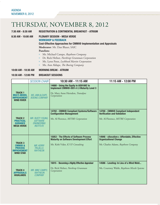### THURSDAY, NOVEMBER 8, 2012

7:30 AM - 8:30 AM REGISTRATION & CONTINENTAL BREAKFAST - ATRIUM

8:30 AM - 10:00 AM PLENARY SESSION - MESA VERDE

#### WORKSHOP & FEEDBACK

Cost-Effective Approaches for CMMI® Implementation and Appraisals

**Moderator**: Mr. Dan Blazer, SAIC

#### **Panelists:**

- **Mr. Michael Campo, Raytheon Company**
- *P. Dr. Rick Hefner, Northrop Grumman Corporation*
- **Ms. Lynn Penn, Lockheed Martin Corporation**
- **Ms. Ann Aldape,** *The Boeing Company*

### 10:00 AM - 10:30 AM MORNING BREAK - ATRIUM

### 10:30 AM - 12:00 PM BREAKOUT SESSIONS

|                                                                                                 | <b>SESSION CHAIR</b>                                                          | 10:30 AM - 11:15 AM                                                                                                                    | 11:15 AM - 12:00 PM                                                                                              |
|-------------------------------------------------------------------------------------------------|-------------------------------------------------------------------------------|----------------------------------------------------------------------------------------------------------------------------------------|------------------------------------------------------------------------------------------------------------------|
| <b>TRACK1</b><br><b>MULTI-MODEL</b><br><b>IMPROVEMENT</b><br><b>WIND RIVER</b>                  | MS. ANN ALDAPE,<br><b>BOEING COMPANY</b>                                      | 14680 - Using the Equity in AS9100C to<br>Implement CMMI®-DEV v1.3 Maturity Level 3<br>Dr. Mary Anne Herndon, Transdyne<br>Corporation |                                                                                                                  |
| <b>TRACK 2</b><br><b>PRACTICAL</b><br><b>GUIDANCE</b><br><b>MESA VERDE</b>                      | MR. RUSTY YOUNG,<br><b>SOFTWARE</b><br><b>ENGINEERING</b><br><b>INSTITUTE</b> | 14702 - CMMI® Compliant Systems/Software<br><b>Configuration Management</b><br>Mr. Al Florence, MITRE Corporation                      | 14700 - CMMI® Compliant Independent<br><b>Verification and Validation</b><br>Mr. Al Florence, MITRE Corporation  |
| <b>TRACK3</b><br><b>CMMI® &amp;</b><br><b>PROCESS</b><br><b>IMPROVEMENT</b><br><b>WIND STAR</b> | <b>MR. KERRY</b><br>TRUJILLO.<br><b>RAYTHEON</b>                              | 15053 - The Effects of Software Process<br><b>Maturity on Software Development Effort</b><br>Mr. Kobi Vider, K.V.P. Consulting         | 14946 - eXecution+: Affordable, Effective<br><b>Organizational Change</b><br>Mr. Charles Adams, Raytheon Company |
| <b>TRACK4</b><br><b>APPRAISALS</b><br><b>HIGHLANDS</b>                                          | MR. MIKE CAMPO,<br>RAYTHEON<br><b>COMPANY</b>                                 | 15015 - Becoming a Highly Effective Appraiser<br>Dr. Rick Hefner, Northrop Grumman<br>Corporation                                      | 14586 - Leveling: In Lieu of a Mind Meld<br>Ms. Courtney Walsh, Raytheon Missile Systems                         |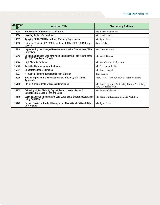| <b>Abstract</b><br>ID | <b>Abstract Title</b>                                                                                       | <b>Secondary Authors</b>                                                   |
|-----------------------|-------------------------------------------------------------------------------------------------------------|----------------------------------------------------------------------------|
| 14578                 | The Evolution of Process Asset Libraries                                                                    | Ms. Dorna Witkowski                                                        |
| 14586                 | Leveling: In lieu of a mind meld                                                                            | Mr. Mark Marsh                                                             |
| 14589                 | Applying CERT-RMM Users Group Workshop Experiences                                                          | Ms. Lynn Penn                                                              |
| 14680                 | Using the Equity in AS9100C to Implement CMMI-DEV v1.3 Maturity<br>Level 3                                  | Sandra Salars                                                              |
| 14948                 | Implementing the Managed Discovery Approach - What Worked, What<br>Didn't Work                              | Mr. Gary Norausky                                                          |
| 15043                 | Building a Business Case for Systems Engineering - the results of the<br>2012 SE Effectiveness Study        | Mr. Geoff Draper                                                           |
| 15044                 | <b>High Maturity Evolution</b>                                                                              | Michael Campo, Kathy Smith                                                 |
| 15045                 | <b>Agile Quality Management Techniques</b>                                                                  | Mr. M. Hosein Fallah                                                       |
| 15051                 | <b>Quantitative Model Olympics</b>                                                                          | Mr. Joseph Trujillo                                                        |
| 15077                 | A Practical Planning Template for High Maturity                                                             | <b>Tom Fosness</b>                                                         |
| 15099                 | Tips for Improving the Effectiveness and Efficiency of SCAMPI<br><b>Appraisals</b>                          | Pat O'Toole, John Ryskowski, Ralph Williams                                |
| 15100                 | <b>OPTM, A Robust Tool For Process Compliance</b>                                                           | Mr. Bob Ferguson, Ms. Christy Rainey, Ms. Cheryl<br>Ray, Ms. Teresa Walker |
| 15105                 | Achieving Higher Maturity Capabilities and Levels - Focus On<br><b>Centralized SPC Group, Pros and Cons</b> | Mr. Forrest Callicutt                                                      |
| 15119                 | Lessons Learned Implementing Very Large Scale Enterprise Appraisals<br><b>Using SCAMPI V1.3</b>             | Mr. Steve Dunkleberger, Mr. Mel Wahlberg                                   |
| 15143                 | Beyond Service or Product Management: Using CMMI-SVC and CMMI-<br><b>DEV Together</b>                       | Ms. Lynn Penn                                                              |